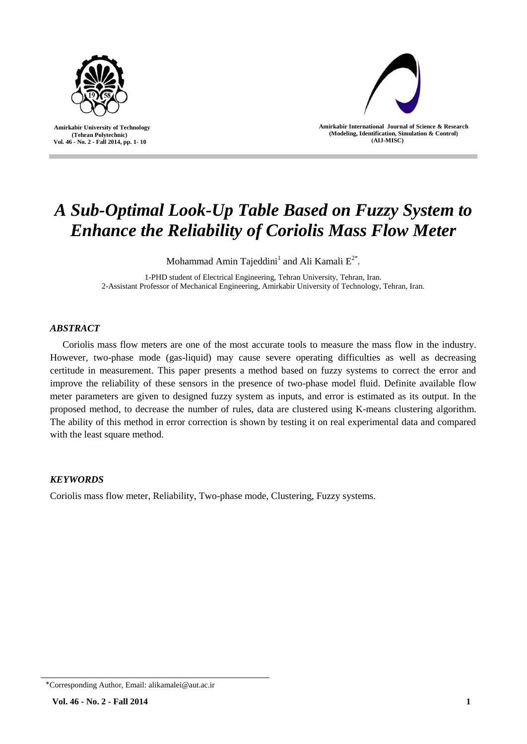

 **Amirkabir University of Technology (Tehran Polytechnic) Vol. 46 - No. 2 - Fall 2014, pp. 1- 10**



**Amirkabir International Journal of Science & Research (Modeling, Identification, Simulation & Control) )AIJ-MISC)**

# *A Sub-Optimal Look-Up Table Based on Fuzzy System to Enhance the Reliability of Coriolis Mass Flow Meter*

Mohammad Amin Tajeddini1 and Ali Kamali  $E^{2^*}.$ 

1-PHD student of Electrical Engineering, Tehran University, Tehran, Iran. 2-Assistant Professor of Mechanical Engineering, Amirkabir University of Technology, Tehran, Iran.

## *ABSTRACT*

Coriolis mass flow meters are one of the most accurate tools to measure the mass flow in the industry. However, two-phase mode (gas-liquid) may cause severe operating difficulties as well as decreasing certitude in measurement. This paper presents a method based on fuzzy systems to correct the error and improve the reliability of these sensors in the presence of two-phase model fluid. Definite available flow meter parameters are given to designed fuzzy system as inputs, and error is estimated as its output. In the proposed method, to decrease the number of rules, data are clustered using K-means clustering algorithm. The ability of this method in error correction is shown by testing it on real experimental data and compared with the least square method.

# *KEYWORDS*

Coriolis mass flow meter, Reliability, Two-phase mode, Clustering, Fuzzy systems.

<sup>٭</sup>Corresponding Author, Email: alikamalei@aut.ac.ir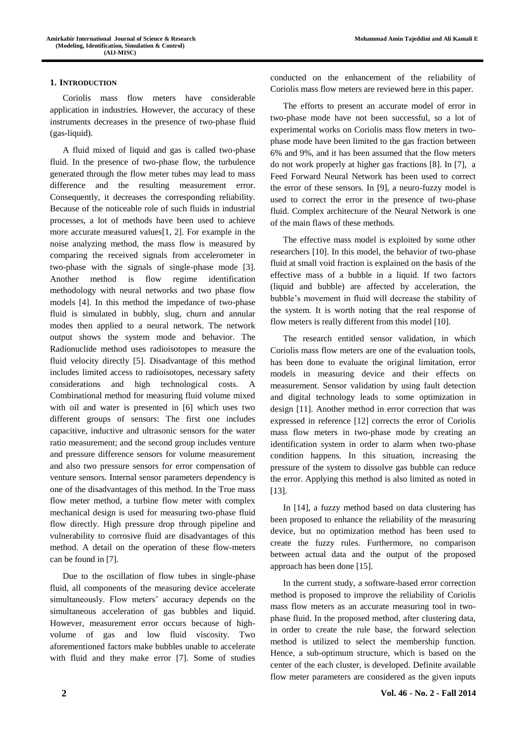## **1. INTRODUCTION**

Coriolis mass flow meters have considerable application in industries. However, the accuracy of these instruments decreases in the presence of two-phase fluid (gas-liquid).

A fluid mixed of liquid and gas is called two-phase fluid. In the presence of two-phase flow, the turbulence generated through the flow meter tubes may lead to mass difference and the resulting measurement error. Consequently, it decreases the corresponding reliability. Because of the noticeable role of such fluids in industrial processes, a lot of methods have been used to achieve more accurate measured values[1, 2]. For example in the noise analyzing method, the mass flow is measured by comparing the received signals from accelerometer in two-phase with the signals of single-phase mode [3]. Another method is flow regime identification methodology with neural networks and two phase flow models [4]. In this method the impedance of two-phase fluid is simulated in bubbly, slug, churn and annular modes then applied to a neural network. The network output shows the system mode and behavior. The Radionuclide method uses radioisotopes to measure the fluid velocity directly [5]. Disadvantage of this method includes limited access to radioisotopes, necessary safety considerations and high technological costs. A Combinational method for measuring fluid volume mixed with oil and water is presented in [6] which uses two different groups of sensors: The first one includes capacitive, inductive and ultrasonic sensors for the water ratio measurement; and the second group includes venture and pressure difference sensors for volume measurement and also two pressure sensors for error compensation of venture sensors. Internal sensor parameters dependency is one of the disadvantages of this method. In the True mass flow meter method, a turbine flow meter with complex mechanical design is used for measuring two-phase fluid flow directly. High pressure drop through pipeline and vulnerability to corrosive fluid are disadvantages of this method. A detail on the operation of these flow-meters can be found in [7].

Due to the oscillation of flow tubes in single-phase fluid, all components of the measuring device accelerate simultaneously. Flow meters' accuracy depends on the simultaneous acceleration of gas bubbles and liquid. However, measurement error occurs because of highvolume of gas and low fluid viscosity. Two aforementioned factors make bubbles unable to accelerate with fluid and they make error [7]. Some of studies conducted on the enhancement of the reliability of Coriolis mass flow meters are reviewed here in this paper.

The efforts to present an accurate model of error in two-phase mode have not been successful, so a lot of experimental works on Coriolis mass flow meters in twophase mode have been limited to the gas fraction between 6% and 9%, and it has been assumed that the flow meters do not work properly at higher gas fractions [8]. In [7], a Feed Forward Neural Network has been used to correct the error of these sensors. In [9], a neuro-fuzzy model is used to correct the error in the presence of two-phase fluid. Complex architecture of the Neural Network is one of the main flaws of these methods.

The effective mass model is exploited by some other researchers [10]. In this model, the behavior of two-phase fluid at small void fraction is explained on the basis of the effective mass of a bubble in a liquid. If two factors (liquid and bubble) are affected by acceleration, the bubble's movement in fluid will decrease the stability of the system. It is worth noting that the real response of flow meters is really different from this model [10].

The research entitled sensor validation, in which Coriolis mass flow meters are one of the evaluation tools, has been done to evaluate the original limitation, error models in measuring device and their effects on measurement. Sensor validation by using fault detection and digital technology leads to some optimization in design [11]. Another method in error correction that was expressed in reference [12] corrects the error of Coriolis mass flow meters in two-phase mode by creating an identification system in order to alarm when two-phase condition happens. In this situation, increasing the pressure of the system to dissolve gas bubble can reduce the error. Applying this method is also limited as noted in [13].

In [14], a fuzzy method based on data clustering has been proposed to enhance the reliability of the measuring device, but no optimization method has been used to create the fuzzy rules. Furthermore, no comparison between actual data and the output of the proposed approach has been done [15].

In the current study, a software-based error correction method is proposed to improve the reliability of Coriolis mass flow meters as an accurate measuring tool in twophase fluid. In the proposed method, after clustering data, in order to create the rule base, the forward selection method is utilized to select the membership function. Hence, a sub-optimum structure, which is based on the center of the each cluster, is developed. Definite available flow meter parameters are considered as the given inputs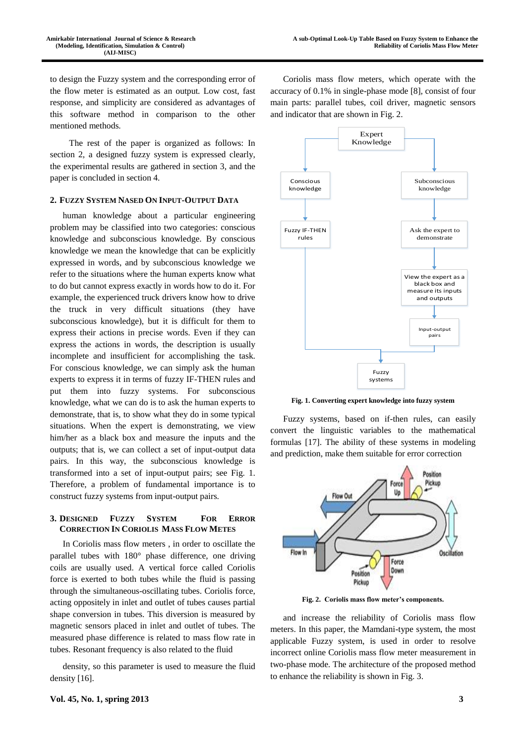to design the Fuzzy system and the corresponding error of the flow meter is estimated as an output. Low cost, fast response, and simplicity are considered as advantages of this software method in comparison to the other mentioned methods.

 The rest of the paper is organized as follows: In section 2, a designed fuzzy system is expressed clearly, the experimental results are gathered in section 3, and the paper is concluded in section 4.

### **2. FUZZY SYSTEM NASED ON INPUT-OUTPUT DATA**

human knowledge about a particular engineering problem may be classified into two categories: conscious knowledge and subconscious knowledge. By conscious knowledge we mean the knowledge that can be explicitly expressed in words, and by subconscious knowledge we refer to the situations where the human experts know what to do but cannot express exactly in words how to do it. For example, the experienced truck drivers know how to drive the truck in very difficult situations (they have subconscious knowledge), but it is difficult for them to express their actions in precise words. Even if they can express the actions in words, the description is usually incomplete and insufficient for accomplishing the task. For conscious knowledge, we can simply ask the human experts to express it in terms of fuzzy IF-THEN rules and put them into fuzzy systems. For subconscious knowledge, what we can do is to ask the human experts to demonstrate, that is, to show what they do in some typical situations. When the expert is demonstrating, we view him/her as a black box and measure the inputs and the outputs; that is, we can collect a set of input-output data pairs. In this way, the subconscious knowledge is transformed into a set of input-output pairs; see Fig. 1. Therefore, a problem of fundamental importance is to construct fuzzy systems from input-output pairs.

## **3. DESIGNED FUZZY SYSTEM FOR ERROR CORRECTION IN CORIOLIS MASS FLOW METES**

In Coriolis mass flow meters , in order to oscillate the parallel tubes with 180° phase difference, one driving coils are usually used. A vertical force called Coriolis force is exerted to both tubes while the fluid is passing through the simultaneous-oscillating tubes. Coriolis force, acting oppositely in inlet and outlet of tubes causes partial shape conversion in tubes. This diversion is measured by magnetic sensors placed in inlet and outlet of tubes. The measured phase difference is related to mass flow rate in tubes. Resonant frequency is also related to the fluid

density, so this parameter is used to measure the fluid density [16].

Coriolis mass flow meters, which operate with the accuracy of 0.1% in single-phase mode [8], consist of four main parts: parallel tubes, coil driver, magnetic sensors and indicator that are shown in Fig. 2.



**Fig. 1. Converting expert knowledge into fuzzy system**

Fuzzy systems, based on if-then rules, can easily convert the linguistic variables to the mathematical formulas [17]. The ability of these systems in modeling and prediction, make them suitable for error correction



**Fig. 2. Coriolis mass flow meter's components.**

and increase the reliability of Coriolis mass flow meters. In this paper, the Mamdani-type system, the most applicable Fuzzy system, is used in order to resolve incorrect online Coriolis mass flow meter measurement in two-phase mode. The architecture of the proposed method to enhance the reliability is shown in Fig. 3.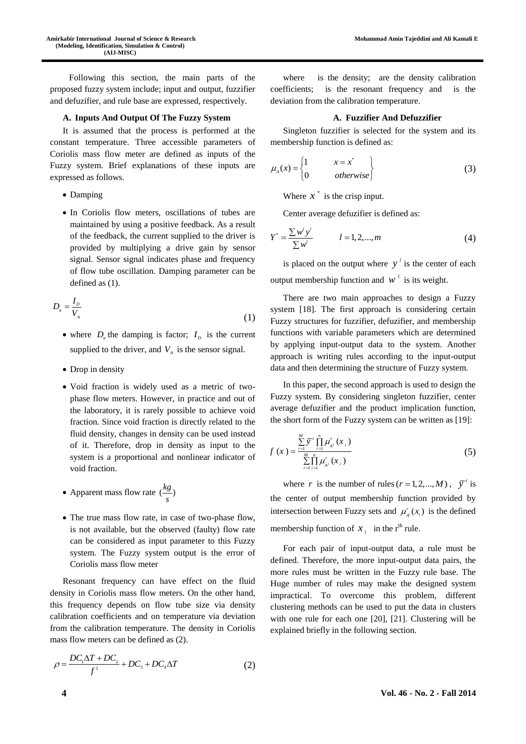Following this section, the main parts of the proposed fuzzy system include; input and output, fuzzifier and defuzifier, and rule base are expressed, respectively.

#### **A. Inputs And Output Of The Fuzzy System**

It is assumed that the process is performed at the constant temperature. Three accessible parameters of Coriolis mass flow meter are defined as inputs of the Fuzzy system. Brief explanations of these inputs are expressed as follows.

- Damping
- In Coriolis flow meters, oscillations of tubes are maintained by using a positive feedback. As a result of the feedback, the current supplied to the driver is provided by multiplying a drive gain by sensor signal. Sensor signal indicates phase and frequency of flow tube oscillation. Damping parameter can be defined as (1).

$$
D_a = \frac{I_b}{V_A} \tag{1}
$$

- where  $D_a$  the damping is factor;  $I_b$  is the current supplied to the driver, and  $V_A$  is the sensor signal.
- Drop in density
- Void fraction is widely used as a metric of twophase flow meters. However, in practice and out of the laboratory, it is rarely possible to achieve void fraction. Since void fraction is directly related to the fluid density, changes in density can be used instead of it. Therefore, drop in density as input to the system is a proportional and nonlinear indicator of void fraction.
- Apparent mass flow rate  $\left(\frac{kg}{s}\right)$
- The true mass flow rate, in case of two-phase flow, is not available, but the observed (faulty) flow rate can be considered as input parameter to this Fuzzy system. The Fuzzy system output is the error of Coriolis mass flow meter

Resonant frequency can have effect on the fluid density in Coriolis mass flow meters. On the other hand, this frequency depends on flow tube size via density calibration coefficients and on temperature via deviation from the calibration temperature. The density in Coriolis mass flow meters can be defined as (2).

$$
\rho = \frac{DC_1\Delta T + DC_2}{f^2} + DC_3 + DC_4\Delta T
$$
\n(2)

where is the density; are the density calibration coefficients; is the resonant frequency and is the deviation from the calibration temperature.

## **A. Fuzzifier And Defuzzifier**

Singleton fuzzifier is selected for the system and its membership function is defined as:

$$
\mu_A(x) = \begin{cases} 1 & x = x^* \\ 0 & otherwise \end{cases}
$$
 (3)

Where  $x^*$  is the crisp input.

Center average defuzifier is defined as:

$$
Y^* = \frac{\sum w^l y^l}{\sum w^l} \qquad l = 1, 2, ..., m \qquad (4)
$$

is placed on the output where  $y<sup>i</sup>$  is the center of each output membership function and  $w^l$  is its weight.

There are two main approaches to design a Fuzzy system [18]. The first approach is considering certain Fuzzy structures for fuzzifier, defuzifier, and membership functions with variable parameters which are determined by applying input-output data to the system. Another approach is writing rules according to the input-output data and then determining the structure of Fuzzy system.

In this paper, the second approach is used to design the Fuzzy system. By considering singleton fuzzifier, center average defuzifier and the product implication function, the short form of the Fuzzy system can be written as [19]:

$$
f(x) = \frac{\sum_{i=1}^{M} \overline{y}^r \prod_{i=1}^{n} \mu_{A^i}^r(x_i)}{\sum_{i=1}^{M} \prod_{i=1}^{n} \mu_{A^i}^r(x_i)}
$$
(5)

where *r* is the number of rules  $(r = 1, 2, ..., M)$ ,  $\overline{y}^r$  is the center of output membership function provided by intersection between Fuzzy sets and  $\mu'_{A}(x_i)$  is the defined membership function of  $x_i$  in the r<sup>th</sup> rule.

For each pair of input-output data, a rule must be defined. Therefore, the more input-output data pairs, the more rules must be written in the Fuzzy rule base. The Huge number of rules may make the designed system impractical. To overcome this problem, different clustering methods can be used to put the data in clusters with one rule for each one [20], [21]. Clustering will be explained briefly in the following section.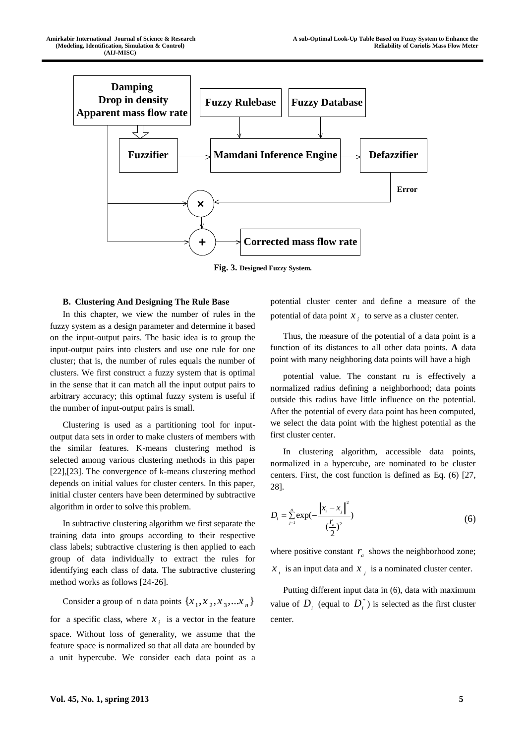

**Fig. 3. Designed Fuzzy System.**

#### **B. Clustering And Designing The Rule Base**

In this chapter, we view the number of rules in the fuzzy system as a design parameter and determine it based on the input-output pairs. The basic idea is to group the input-output pairs into clusters and use one rule for one cluster; that is, the number of rules equals the number of clusters. We first construct a fuzzy system that is optimal in the sense that it can match all the input output pairs to arbitrary accuracy; this optimal fuzzy system is useful if the number of input-output pairs is small.

Clustering is used as a partitioning tool for inputoutput data sets in order to make clusters of members with the similar features. K-means clustering method is selected among various clustering methods in this paper [22],[23]. The convergence of k-means clustering method depends on initial values for cluster centers. In this paper, initial cluster centers have been determined by subtractive algorithm in order to solve this problem.

In subtractive clustering algorithm we first separate the training data into groups according to their respective class labels; subtractive clustering is then applied to each group of data individually to extract the rules for identifying each class of data. The subtractive clustering method works as follows [24-26].

Consider a group of n data points  $\{x_1, x_2, x_3, ... x_n\}$ for a specific class, where  $x_i$  is a vector in the feature space. Without loss of generality, we assume that the feature space is normalized so that all data are bounded by a unit hypercube. We consider each data point as a

potential cluster center and define a measure of the potential of data point  $x_i$  to serve as a cluster center.

Thus, the measure of the potential of a data point is a function of its distances to all other data points. **A** data point with many neighboring data points will have a high

potential value. The constant ru is effectively a normalized radius defining a neighborhood; data points outside this radius have little influence on the potential. After the potential of every data point has been computed, we select the data point with the highest potential as the first cluster center.

In clustering algorithm, accessible data points, normalized in a hypercube, are nominated to be cluster centers. First, the cost function is defined as Eq. (6) [27, 28].

$$
D_i = \sum_{j=1}^n \exp(-\frac{\left\|x_i - x_j\right\|^2}{(\frac{r_a}{2})^2})
$$
\n(6)

where positive constant  $r_a$  shows the neighborhood zone;  $x_i$  is an input data and  $x_j$  is a nominated cluster center.

Putting different input data in (6), data with maximum value of  $D_i$  (equal to  $D_i^*$ ) is selected as the first cluster center.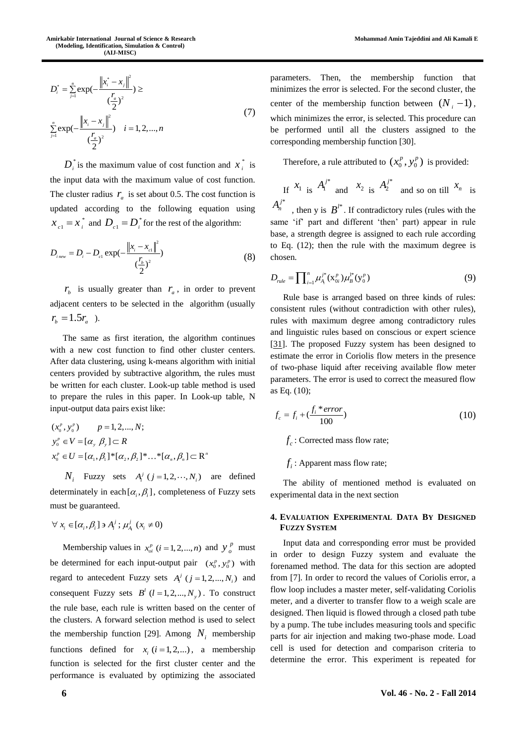$$
D_i^* = \sum_{j=1}^n \exp(-\frac{\left\|x_i^* - x_j\right\|^2}{(\frac{r_a}{2})^2}) \ge
$$
  

$$
\sum_{j=1}^n \exp(-\frac{\left\|x_i - x_j\right\|^2}{(\frac{r_a}{2})^2}) \quad i = 1, 2, ..., n
$$
 (7)

 $D_i^*$  is the maximum value of cost function and  $x_i^*$  $x_i^*$  is the input data with the maximum value of cost function. The cluster radius  $r_a$  is set about 0.5. The cost function is updated according to the following equation using \*  $x_{c1} = x_i^*$  and  $D_{c1} = D_i^*$  for the rest of the algorithm:

$$
D_{i_{new}} = D_i - D_{c1} \exp(-\frac{\left\|x_i - x_{c1}\right\|^2}{(\frac{r_b}{2})^2})
$$
\n(8)

 $r<sub>b</sub>$  is usually greater than  $r<sub>a</sub>$ , in order to prevent adjacent centers to be selected in the algorithm (usually  $r_{h} = 1.5 r_{a}$ .

The same as first iteration, the algorithm continues with a new cost function to find other cluster centers. After data clustering, using k-means algorithm with initial centers provided by subtractive algorithm, the rules must be written for each cluster. Look-up table method is used to prepare the rules in this paper. In Look-up table, N input-output data pairs exist like:

$$
(x_0^p, y_0^p) \t p = 1, 2, ..., N;
$$
  
\n
$$
y_0^p \in V = [\alpha_y, \beta_y] \subset R
$$
  
\n
$$
x_0^p \in U = [\alpha_1, \beta_1]^* [\alpha_2, \beta_2]^* ...^* [\alpha_n, \beta_n] \subset R^n
$$

 $N_i$  Fuzzy sets  $A_i^j$  ( $j = 1, 2, \dots, N_i$ ) are defined determinately in each  $[\alpha_i, \beta_i]$ , completeness of Fuzzy sets must be guaranteed.

$$
\forall x_i \in [\alpha_i, \beta_i] \ni A_i^j; \mu_{A_i}^j (x_i \neq 0)
$$

Membership values in  $x_{oi}^p$  (*i* = 1, 2, ..., *n*) and  $y_o^p$ *o y* must be determined for each input-output pair  $(x_0^p, y_0^p)$  with regard to antecedent Fuzzy sets  $A_i^j$  ( $j = 1, 2, ..., N_i$ ) and consequent Fuzzy sets  $B^l$  ( $l = 1, 2, ..., N_y$ ). To construct the rule base, each rule is written based on the center of the clusters. A forward selection method is used to select the membership function [29]. Among  $N_i$  membership functions defined for  $x_i$  ( $i = 1, 2,...$ ), a membership function is selected for the first cluster center and the performance is evaluated by optimizing the associated

parameters. Then, the membership function that minimizes the error is selected. For the second cluster, the center of the membership function between  $(N_i - 1)$ , which minimizes the error, is selected. This procedure can be performed until all the clusters assigned to the corresponding membership function [30].

Therefore, a rule attributed to  $(x_0^p, y_0^p)$  is provided:

If 
$$
x_1
$$
 is  $A_1^{j*}$  and  $x_2$  is  $A_2^{j*}$  and so on till  $x_n$  is

 $A_n^{j*}$ , then y is  $B^{l*}$ . If contradictory rules (rules with the same 'if' part and different 'then' part) appear in rule base, a strength degree is assigned to each rule according to Eq. (12); then the rule with the maximum degree is chosen.

$$
D_{nle} = \prod_{i=1}^{n} \mu_{A_i}^{j^*}(\mathbf{x}_{0i}^p) \mu_B^{j^*}(\mathbf{y}_0^p)
$$
 (9)

Rule base is arranged based on three kinds of rules: consistent rules (without contradiction with other rules), rules with maximum degree among contradictory rules and linguistic rules based on conscious or expert science [\[31\]](file:///C:/Users/MohammadAli/Desktop/New%20folder/4710_last.doc%23_ENREF_31). The proposed Fuzzy system has been designed to estimate the error in Coriolis flow meters in the presence of two-phase liquid after receiving available flow meter parameters. The error is used to correct the measured flow as Eq. (10);

$$
f_c = f_i + \left(\frac{f_i \cdot error}{100}\right) \tag{10}
$$

 $f_c$ : Corrected mass flow rate;

 $f_i$ : Apparent mass flow rate;

The ability of mentioned method is evaluated on experimental data in the next section

## **4. EVALUATION EXPERIMENTAL DATA BY DESIGNED FUZZY SYSTEM**

Input data and corresponding error must be provided in order to design Fuzzy system and evaluate the forenamed method. The data for this section are adopted from [\[7\]](file:///C:/Users/MohammadAli/Desktop/New%20folder/4710_last.doc%23_ENREF_7). In order to record the values of Coriolis error, a flow loop includes a master meter, self-validating Coriolis meter, and a diverter to transfer flow to a weigh scale are designed. Then liquid is flowed through a closed path tube by a pump. The tube includes measuring tools and specific parts for air injection and making two-phase mode. Load cell is used for detection and comparison criteria to determine the error. This experiment is repeated for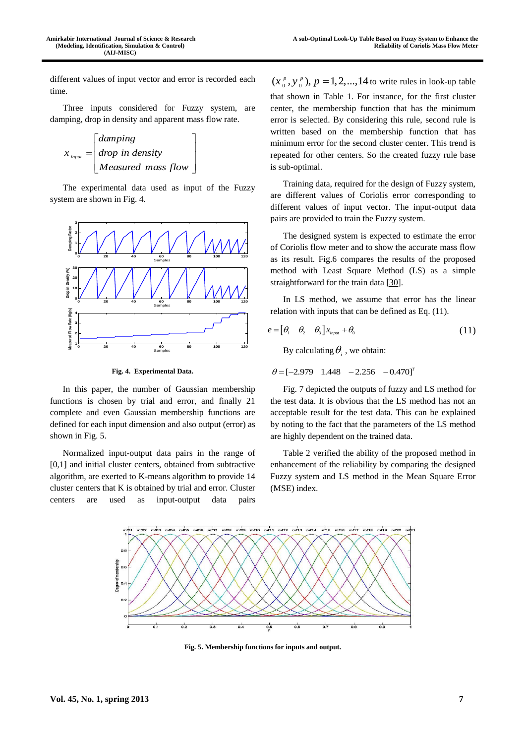different values of input vector and error is recorded each time.

Three inputs considered for Fuzzy system, are damping, drop in density and apparent mass flow rate.

$$
x_{input} = \begin{bmatrix} damping \\ drop in density \\ Measured mass flow \end{bmatrix}
$$

The experimental data used as input of the Fuzzy system are shown in Fig. 4.



**Fig. 4. Experimental Data.**

In this paper, the number of Gaussian membership functions is chosen by trial and error, and finally 21 complete and even Gaussian membership functions are defined for each input dimension and also output (error) as shown in Fig. 5.

Normalized input-output data pairs in the range of [0,1] and initial cluster centers, obtained from subtractive algorithm, are exerted to K-means algorithm to provide 14 cluster centers that K is obtained by trial and error. Cluster centers are used as input-output data pairs

 $(x_0^p, y_0^p)$ ,  $p = 1, 2, ..., 14$  to write rules in look-up table that shown in Table 1. For instance, for the first cluster center, the membership function that has the minimum error is selected. By considering this rule, second rule is written based on the membership function that has minimum error for the second cluster center. This trend is repeated for other centers. So the created fuzzy rule base is sub-optimal.

Training data, required for the design of Fuzzy system, are different values of Coriolis error corresponding to different values of input vector. The input-output data pairs are provided to train the Fuzzy system.

The designed system is expected to estimate the error of Coriolis flow meter and to show the accurate mass flow as its result. Fig.6 compares the results of the proposed method with Least Square Method (LS) as a simple straightforward for the train data [\[30\]](file:///C:/Users/MohammadAli/Desktop/New%20folder/4710_last.doc%23_ENREF_30).

In LS method, we assume that error has the linear relation with inputs that can be defined as Eq. (11).

$$
e = \begin{bmatrix} \theta_1 & \theta_2 & \theta_3 \end{bmatrix} x_{input} + \theta_0 \tag{11}
$$

By calculating  $\theta$ <sub>i</sub>, we obtain:

$$
\theta = [-2.979 \quad 1.448 \quad -2.256 \quad -0.470]^{7}
$$

Fig. 7 depicted the outputs of fuzzy and LS method for the test data. It is obvious that the LS method has not an acceptable result for the test data. This can be explained by noting to the fact that the parameters of the LS method are highly dependent on the trained data.

Table 2 verified the ability of the proposed method in enhancement of the reliability by comparing the designed Fuzzy system and LS method in the Mean Square Error (MSE) index.



**Fig. 5. Membership functions for inputs and output.**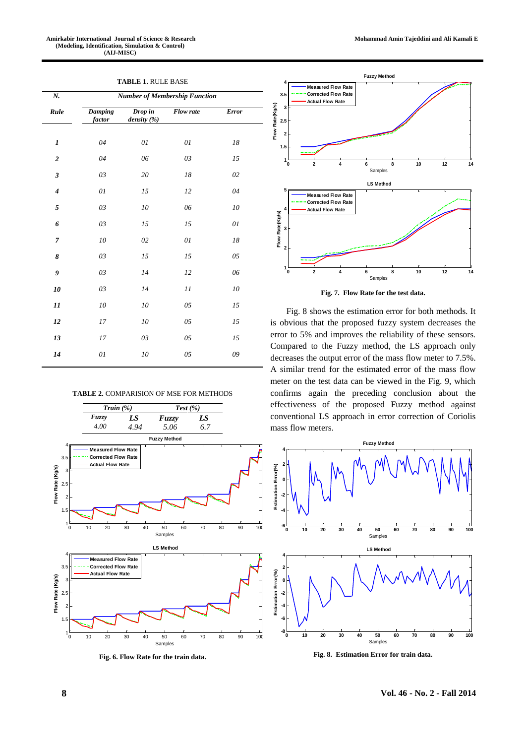## **TABLE 1.** RULE BASE

| N.                          | <b>Number of Membership Function</b> |                        |           |              |
|-----------------------------|--------------------------------------|------------------------|-----------|--------------|
| Rule                        | <b>Damping</b><br>factor             | Drop in<br>density (%) | Flow rate | <b>Error</b> |
| $\boldsymbol{l}$            | 04                                   | 01                     | 01        | 18           |
| $\overline{2}$              | 04                                   | 06                     | 03        | 15           |
| $\mathfrak{z}$              | 03                                   | 20                     | 18        | 02           |
| $\overline{\boldsymbol{4}}$ | 01                                   | 15                     | 12        | 04           |
| 5                           | 03                                   | 10                     | 06        | 10           |
| 6                           | 03                                   | 15                     | 15        | 01           |
| $\overline{7}$              | 10                                   | 02                     | 01        | 18           |
| 8                           | 03                                   | 15                     | 15        | 05           |
| 9                           | 03                                   | 14                     | 12        | 06           |
| 10                          | 03                                   | 14                     | 11        | 10           |
| 11                          | 10                                   | 10                     | 05        | 15           |
| 12                          | 17                                   | 10                     | 05        | 15           |
| 13                          | 17                                   | 03                     | 05        | 15           |
| 14                          | 01                                   | 10                     | 05        | 09           |
|                             |                                      |                        |           |              |

#### **TABLE 2.** COMPARISION OF MSE FOR METHODS

![](_page_7_Figure_4.jpeg)

**Fig. 6. Flow Rate for the train data.**

![](_page_7_Figure_7.jpeg)

**Fig. 7. Flow Rate for the test data.**

Fig. 8 shows the estimation error for both methods. It is obvious that the proposed fuzzy system decreases the error to 5% and improves the reliability of these sensors. Compared to the Fuzzy method, the LS approach only decreases the output error of the mass flow meter to 7.5%. A similar trend for the estimated error of the mass flow meter on the test data can be viewed in the Fig. 9, which confirms again the preceding conclusion about the effectiveness of the proposed Fuzzy method against conventional LS approach in error correction of Coriolis mass flow meters.

![](_page_7_Figure_10.jpeg)

**Fig. 8. Estimation Error for train data.**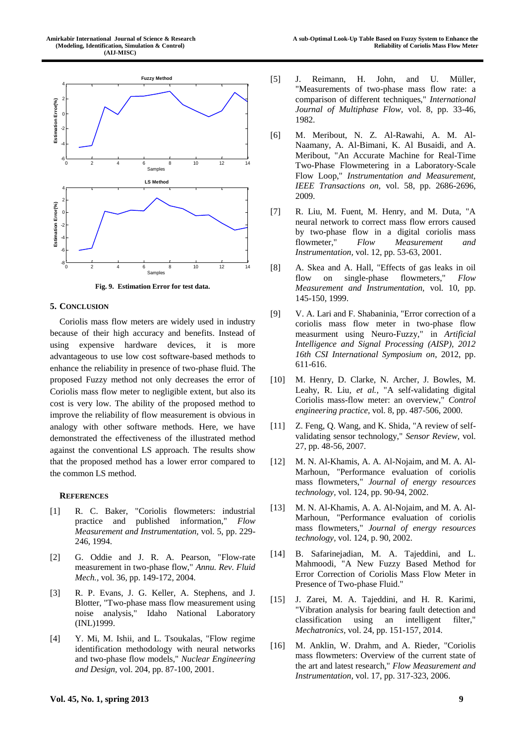![](_page_8_Figure_1.jpeg)

**Fig. 9. Estimation Error for test data.**

#### **5. CONCLUSION**

Coriolis mass flow meters are widely used in industry because of their high accuracy and benefits. Instead of using expensive hardware devices, it is more advantageous to use low cost software-based methods to enhance the reliability in presence of two-phase fluid. The proposed Fuzzy method not only decreases the error of Coriolis mass flow meter to negligible extent, but also its cost is very low. The ability of the proposed method to improve the reliability of flow measurement is obvious in analogy with other software methods. Here, we have demonstrated the effectiveness of the illustrated method against the conventional LS approach. The results show that the proposed method has a lower error compared to the common LS method.

#### **REFERENCES**

- [1] R. C. Baker, "Coriolis flowmeters: industrial practice and published information," *Flow Measurement and Instrumentation,* vol. 5, pp. 229- 246, 1994.
- [2] G. Oddie and J. R. A. Pearson, "Flow-rate measurement in two-phase flow," *Annu. Rev. Fluid Mech.,* vol. 36, pp. 149-172, 2004.
- [3] R. P. Evans, J. G. Keller, A. Stephens, and J. Blotter, "Two-phase mass flow measurement using noise analysis," Idaho National Laboratory (INL)1999.
- [4] Y. Mi, M. Ishii, and L. Tsoukalas, "Flow regime identification methodology with neural networks and two-phase flow models," *Nuclear Engineering and Design,* vol. 204, pp. 87-100, 2001.
- [5] J. Reimann, H. John, and U. Müller, "Measurements of two-phase mass flow rate: a comparison of different techniques," *International Journal of Multiphase Flow,* vol. 8, pp. 33-46, 1982.
- [6] M. Meribout, N. Z. Al-Rawahi, A. M. Al-Naamany, A. Al-Bimani, K. Al Busaidi, and A. Meribout, "An Accurate Machine for Real-Time Two-Phase Flowmetering in a Laboratory-Scale Flow Loop," *Instrumentation and Measurement, IEEE Transactions on,* vol. 58, pp. 2686-2696, 2009.
- [7] R. Liu, M. Fuent, M. Henry, and M. Duta, "A neural network to correct mass flow errors caused by two-phase flow in a digital coriolis mass flowmeter," *Flow Measurement and Instrumentation,* vol. 12, pp. 53-63, 2001.
- [8] A. Skea and A. Hall, "Effects of gas leaks in oil flow on single-phase flowmeters," *Flow Measurement and Instrumentation,* vol. 10, pp. 145-150, 1999.
- [9] V. A. Lari and F. Shabaninia, "Error correction of a coriolis mass flow meter in two-phase flow measurment using Neuro-Fuzzy," in *Artificial Intelligence and Signal Processing (AISP), 2012 16th CSI International Symposium on*, 2012, pp. 611-616.
- [10] M. Henry, D. Clarke, N. Archer, J. Bowles, M. Leahy, R. Liu*, et al.*, "A self-validating digital Coriolis mass-flow meter: an overview," *Control engineering practice,* vol. 8, pp. 487-506, 2000.
- [11] Z. Feng, Q. Wang, and K. Shida, "A review of selfvalidating sensor technology," *Sensor Review,* vol. 27, pp. 48-56, 2007.
- [12] M. N. Al-Khamis, A. A. Al-Nojaim, and M. A. Al-Marhoun, "Performance evaluation of coriolis mass flowmeters," *Journal of energy resources technology,* vol. 124, pp. 90-94, 2002.
- [13] M. N. Al-Khamis, A. A. Al-Nojaim, and M. A. Al-Marhoun, "Performance evaluation of coriolis mass flowmeters," *Journal of energy resources technology,* vol. 124, p. 90, 2002.
- [14] B. Safarinejadian, M. A. Tajeddini, and L. Mahmoodi, "A New Fuzzy Based Method for Error Correction of Coriolis Mass Flow Meter in Presence of Two-phase Fluid."
- [15] J. Zarei, M. A. Tajeddini, and H. R. Karimi, "Vibration analysis for bearing fault detection and classification using an intelligent filter," *Mechatronics,* vol. 24, pp. 151-157, 2014.
- [16] M. Anklin, W. Drahm, and A. Rieder, "Coriolis mass flowmeters: Overview of the current state of the art and latest research," *Flow Measurement and Instrumentation,* vol. 17, pp. 317-323, 2006.